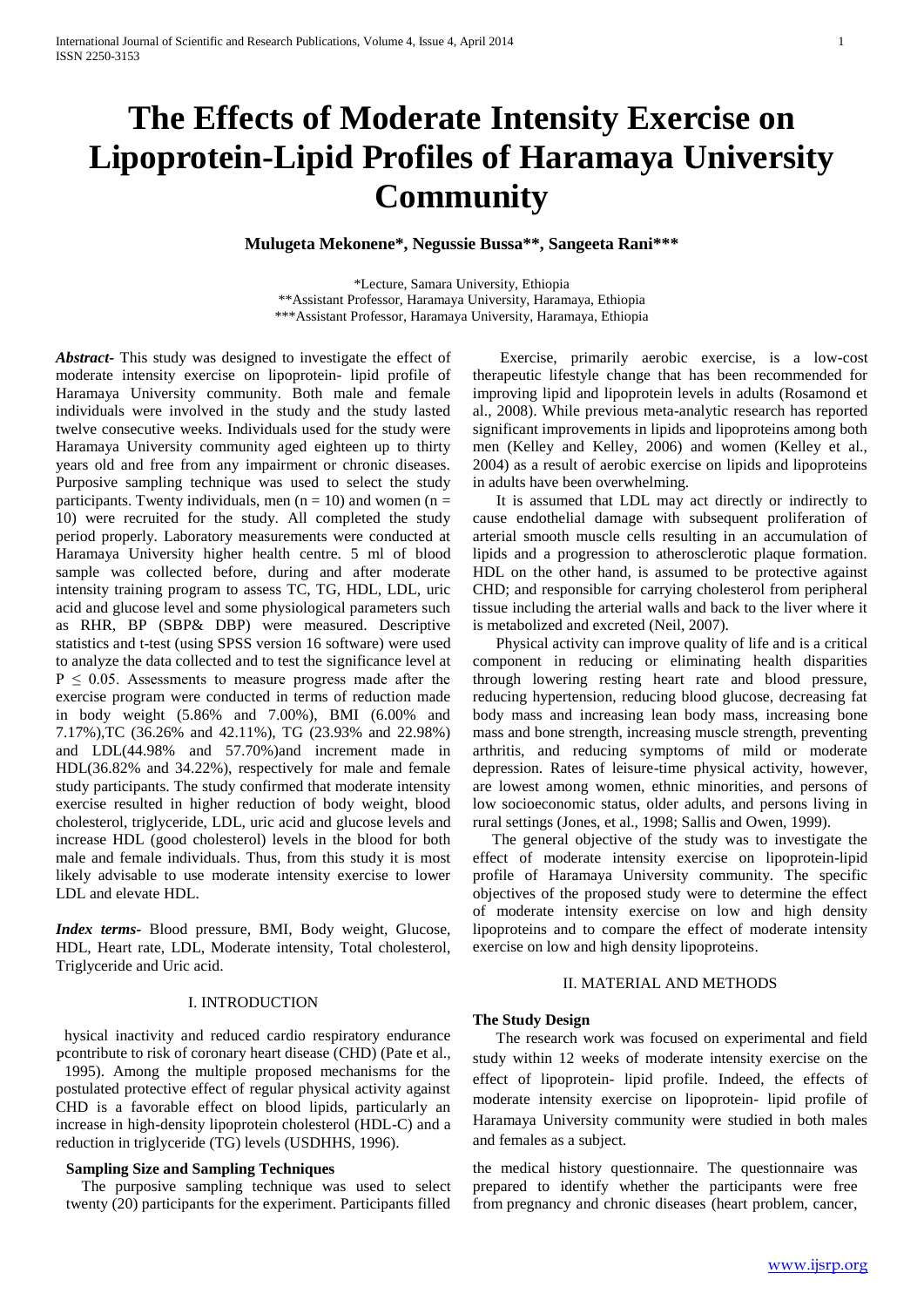# **The Effects of Moderate Intensity Exercise on Lipoprotein-Lipid Profiles of Haramaya University Community**

**Mulugeta Mekonene\*, Negussie Bussa\*\*, Sangeeta Rani\*\*\***

\*Lecture, Samara University, Ethiopia \*\*Assistant Professor, Haramaya University, Haramaya, Ethiopia \*\*\*Assistant Professor, Haramaya University, Haramaya, Ethiopia

*Abstract***-** This study was designed to investigate the effect of moderate intensity exercise on lipoprotein- lipid profile of Haramaya University community. Both male and female individuals were involved in the study and the study lasted twelve consecutive weeks. Individuals used for the study were Haramaya University community aged eighteen up to thirty years old and free from any impairment or chronic diseases. Purposive sampling technique was used to select the study participants. Twenty individuals, men ( $n = 10$ ) and women ( $n =$ 10) were recruited for the study. All completed the study period properly. Laboratory measurements were conducted at Haramaya University higher health centre. 5 ml of blood sample was collected before, during and after moderate intensity training program to assess TC, TG, HDL, LDL, uric acid and glucose level and some physiological parameters such as RHR, BP (SBP& DBP) were measured. Descriptive statistics and t-test (using SPSS version 16 software) were used to analyze the data collected and to test the significance level at  $P \le 0.05$ . Assessments to measure progress made after the exercise program were conducted in terms of reduction made in body weight (5.86% and 7.00%), BMI (6.00% and 7.17%),TC (36.26% and 42.11%), TG (23.93% and 22.98%) and LDL(44.98% and 57.70%)and increment made in HDL(36.82% and 34.22%), respectively for male and female study participants. The study confirmed that moderate intensity exercise resulted in higher reduction of body weight, blood cholesterol, triglyceride, LDL, uric acid and glucose levels and increase HDL (good cholesterol) levels in the blood for both male and female individuals. Thus, from this study it is most likely advisable to use moderate intensity exercise to lower LDL and elevate HDL.

*Index terms-* Blood pressure, BMI, Body weight, Glucose, HDL, Heart rate, LDL, Moderate intensity, Total cholesterol, Triglyceride and Uric acid.

#### I. INTRODUCTION

hysical inactivity and reduced cardio respiratory endurance pcontribute to risk of coronary heart disease (CHD) (Pate et al.,

1995). Among the multiple proposed mechanisms for the postulated protective effect of regular physical activity against CHD is a favorable effect on blood lipids, particularly an increase in high-density lipoprotein cholesterol (HDL-C) and a reduction in triglyceride (TG) levels (USDHHS, 1996).

# **Sampling Size and Sampling Techniques**

 The purposive sampling technique was used to select twenty (20) participants for the experiment. Participants filled

 Exercise, primarily aerobic exercise, is a low-cost therapeutic lifestyle change that has been recommended for improving lipid and lipoprotein levels in adults (Rosamond et al., 2008). While previous meta-analytic research has reported significant improvements in lipids and lipoproteins among both men (Kelley and Kelley, 2006) and women (Kelley et al., 2004) as a result of aerobic exercise on lipids and lipoproteins in adults have been overwhelming.

 It is assumed that LDL may act directly or indirectly to cause endothelial damage with subsequent proliferation of arterial smooth muscle cells resulting in an accumulation of lipids and a progression to atherosclerotic plaque formation. HDL on the other hand, is assumed to be protective against CHD; and responsible for carrying cholesterol from peripheral tissue including the arterial walls and back to the liver where it is metabolized and excreted (Neil, 2007).

 Physical activity can improve quality of life and is a critical component in reducing or eliminating health disparities through lowering resting heart rate and blood pressure, reducing hypertension, reducing blood glucose, decreasing fat body mass and increasing lean body mass, increasing bone mass and bone strength, increasing muscle strength, preventing arthritis, and reducing symptoms of mild or moderate depression. Rates of leisure-time physical activity, however, are lowest among women, ethnic minorities, and persons of low socioeconomic status, older adults, and persons living in rural settings (Jones, et al., 1998; Sallis and Owen, 1999).

 The general objective of the study was to investigate the effect of moderate intensity exercise on lipoprotein-lipid profile of Haramaya University community. The specific objectives of the proposed study were to determine the effect of moderate intensity exercise on low and high density lipoproteins and to compare the effect of moderate intensity exercise on low and high density lipoproteins.

#### II. MATERIAL AND METHODS

#### **The Study Design**

 The research work was focused on experimental and field study within 12 weeks of moderate intensity exercise on the effect of lipoprotein- lipid profile. Indeed, the effects of moderate intensity exercise on lipoprotein- lipid profile of Haramaya University community were studied in both males and females as a subject.

the medical history questionnaire. The questionnaire was prepared to identify whether the participants were free from pregnancy and chronic diseases (heart problem, cancer,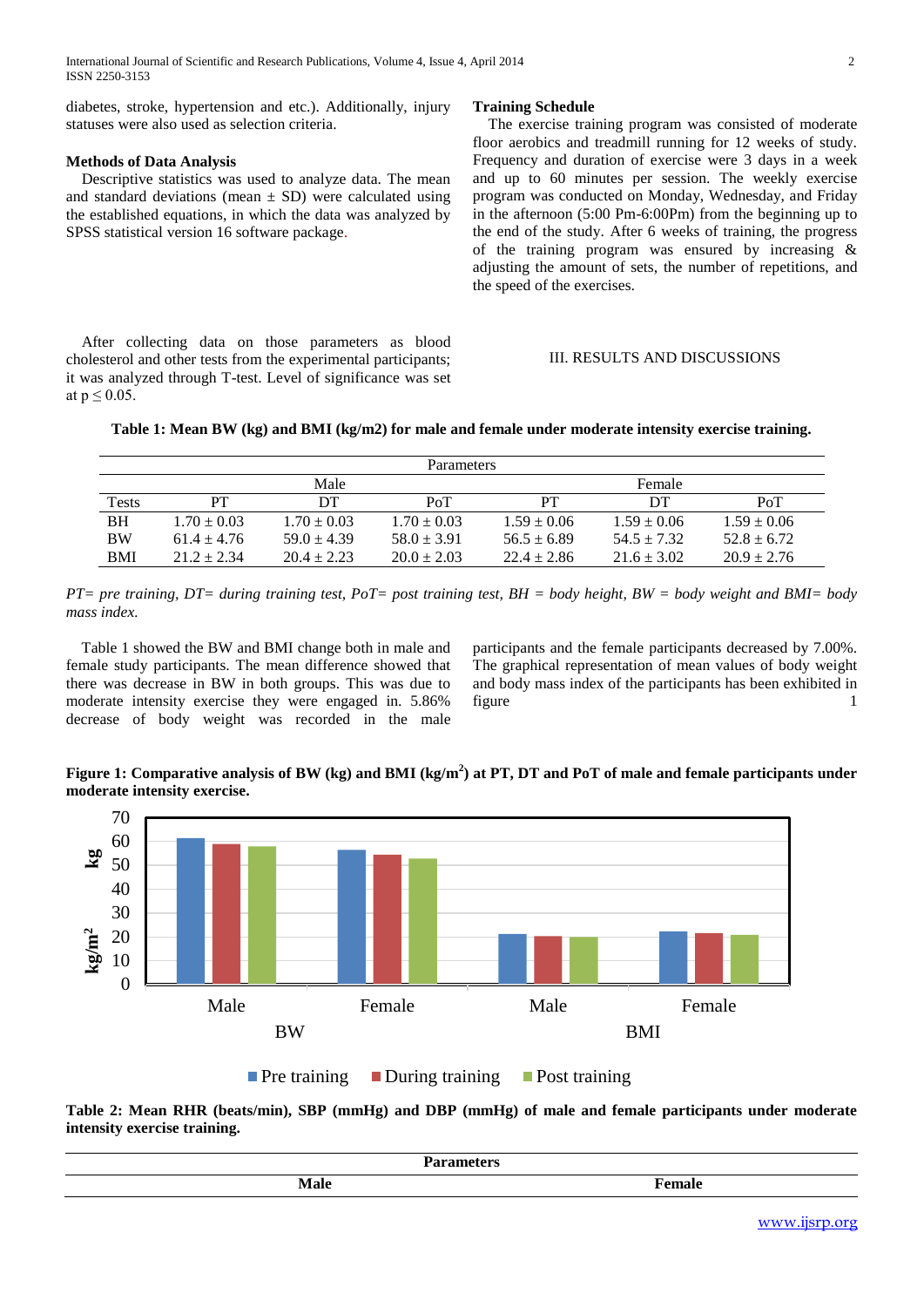diabetes, stroke, hypertension and etc.). Additionally, injury statuses were also used as selection criteria.

# **Methods of Data Analysis**

 Descriptive statistics was used to analyze data. The mean and standard deviations (mean  $\pm$  SD) were calculated using the established equations, in which the data was analyzed by SPSS statistical version 16 software package.

 After collecting data on those parameters as blood cholesterol and other tests from the experimental participants; it was analyzed through T-test. Level of significance was set at  $p \leq 0.05$ .

#### **Training Schedule**

 The exercise training program was consisted of moderate floor aerobics and treadmill running for 12 weeks of study. Frequency and duration of exercise were 3 days in a week and up to 60 minutes per session. The weekly exercise program was conducted on Monday, Wednesday, and Friday in the afternoon (5:00 Pm-6:00Pm) from the beginning up to the end of the study. After 6 weeks of training, the progress of the training program was ensured by increasing & adjusting the amount of sets, the number of repetitions, and the speed of the exercises.

## III. RESULTS AND DISCUSSIONS



| <b>Parameters</b> |                 |                 |                 |                 |                 |                 |  |
|-------------------|-----------------|-----------------|-----------------|-----------------|-----------------|-----------------|--|
|                   | Male            |                 |                 |                 | Female          |                 |  |
| Tests             | PТ              | DТ              | PoT             | PT              | DТ              | PoT             |  |
| <b>BH</b>         | $1.70 + 0.03$   | $1.70 \pm 0.03$ | $1.70 \pm 0.03$ | $1.59 \pm 0.06$ | $1.59 \pm 0.06$ | $1.59 \pm 0.06$ |  |
| <b>BW</b>         | $61.4 \pm 4.76$ | $59.0 + 4.39$   | $58.0 \pm 3.91$ | $56.5 \pm 6.89$ | $54.5 + 7.32$   | $52.8 + 6.72$   |  |
| BMI               | $21.2 + 2.34$   | $20.4 + 2.23$   | $20.0 \pm 2.03$ | $22.4 \pm 2.86$ | $21.6 \pm 3.02$ | $20.9 \pm 2.76$ |  |

*PT= pre training, DT= during training test, PoT= post training test, BH = body height, BW = body weight and BMI= body mass index.*

 Table 1 showed the BW and BMI change both in male and female study participants. The mean difference showed that there was decrease in BW in both groups. This was due to moderate intensity exercise they were engaged in. 5.86% decrease of body weight was recorded in the male participants and the female participants decreased by 7.00%. The graphical representation of mean values of body weight and body mass index of the participants has been exhibited in figure 1



**Figure 1: Comparative analysis of BW (kg) and BMI (kg/m<sup>2</sup> ) at PT, DT and PoT of male and female participants under moderate intensity exercise.**

**Pre training During training Post training** 

**Table 2: Mean RHR (beats/min), SBP (mmHg) and DBP (mmHg) of male and female participants under moderate intensity exercise training.**

|               | . |
|---------------|---|
| $\sim$ $\sim$ |   |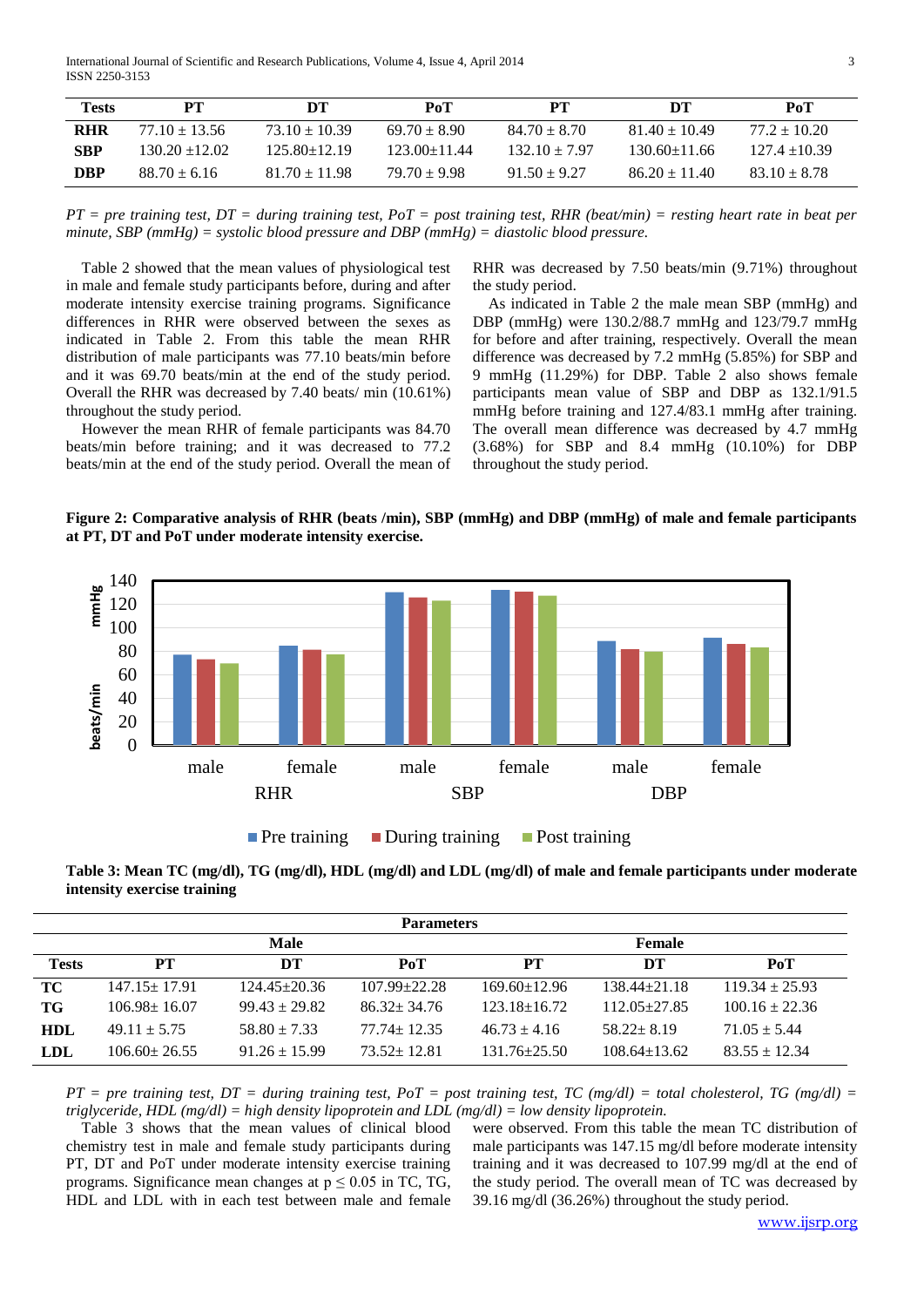International Journal of Scientific and Research Publications, Volume 4, Issue 4, April 2014 3 ISSN 2250-3153

| <b>Tests</b> | <b>PT</b>        | DТ                | PoT              | PТ               | DТ                | PoT              |
|--------------|------------------|-------------------|------------------|------------------|-------------------|------------------|
| <b>RHR</b>   | $77.10 + 13.56$  | $73.10 \pm 10.39$ | $69.70 \pm 8.90$ | $84.70 \pm 8.70$ | $81.40 \pm 10.49$ | $77.2 + 10.20$   |
| <b>SBP</b>   | $130.20 + 12.02$ | $125.80 + 12.19$  | $123.00 + 11.44$ | $132.10 + 7.97$  | $130.60 + 11.66$  | $127.4 + 10.39$  |
| <b>DBP</b>   | $88.70 \pm 6.16$ | $81.70 \pm 11.98$ | $79.70 \pm 9.98$ | $91.50 \pm 9.27$ | $86.20 \pm 11.40$ | $83.10 \pm 8.78$ |

*PT = pre training test, DT = during training test, PoT = post training test, RHR (beat/min) = resting heart rate in beat per minute, SBP (mmHg) = systolic blood pressure and DBP (mmHg) = diastolic blood pressure.*

 Table 2 showed that the mean values of physiological test in male and female study participants before, during and after moderate intensity exercise training programs. Significance differences in RHR were observed between the sexes as indicated in Table 2. From this table the mean RHR distribution of male participants was 77.10 beats/min before and it was 69.70 beats/min at the end of the study period. Overall the RHR was decreased by 7.40 beats/ min (10.61%) throughout the study period.

 However the mean RHR of female participants was 84.70 beats/min before training; and it was decreased to 77.2 beats/min at the end of the study period. Overall the mean of

RHR was decreased by 7.50 beats/min (9.71%) throughout the study period.

 As indicated in Table 2 the male mean SBP (mmHg) and DBP (mmHg) were 130.2/88.7 mmHg and 123/79.7 mmHg for before and after training, respectively. Overall the mean difference was decreased by 7.2 mmHg (5.85%) for SBP and 9 mmHg (11.29%) for DBP. Table 2 also shows female participants mean value of SBP and DBP as 132.1/91.5 mmHg before training and 127.4/83.1 mmHg after training. The overall mean difference was decreased by 4.7 mmHg (3.68%) for SBP and 8.4 mmHg (10.10%) for DBP throughout the study period.

**Figure 2: Comparative analysis of RHR (beats /min), SBP (mmHg) and DBP (mmHg) of male and female participants at PT, DT and PoT under moderate intensity exercise.**



Pre training During training Post training

**Table 3: Mean TC (mg/dl), TG (mg/dl), HDL (mg/dl) and LDL (mg/dl) of male and female participants under moderate intensity exercise training**

| <b>Parameters</b> |                    |                    |                    |                    |                    |                    |  |
|-------------------|--------------------|--------------------|--------------------|--------------------|--------------------|--------------------|--|
|                   |                    | Male               |                    | Female             |                    |                    |  |
| <b>Tests</b>      | PТ                 | DT                 | PoT                | PТ                 | DT                 | PoT                |  |
| TC                | $147.15 \pm 17.91$ | $124.45 \pm 20.36$ | $107.99 \pm 22.28$ | $169.60 \pm 12.96$ | $138.44 \pm 21.18$ | $119.34 \pm 25.93$ |  |
| TG                | $106.98 \pm 16.07$ | $99.43 \pm 29.82$  | $86.32 \pm 34.76$  | $123.18 \pm 16.72$ | $112.05 + 27.85$   | $100.16 \pm 22.36$ |  |
| <b>HDL</b>        | $49.11 \pm 5.75$   | $58.80 \pm 7.33$   | $77.74 + 12.35$    | $46.73 \pm 4.16$   | $58.22 + 8.19$     | $71.05 \pm 5.44$   |  |
| <b>LDL</b>        | $106.60 \pm 26.55$ | $91.26 \pm 15.99$  | $73.52 + 12.81$    | $131.76 \pm 25.50$ | $108.64 \pm 13.62$ | $83.55 \pm 12.34$  |  |

 $PT = pre$  training test,  $DT =$  during training test,  $PoT = post$  training test,  $TC$  (mg/dl) = total cholesterol,  $TG$  (mg/dl) = *triglyceride, HDL (mg/dl) = high density lipoprotein and LDL (mg/dl) = low density lipoprotein.*

 Table 3 shows that the mean values of clinical blood chemistry test in male and female study participants during PT, DT and PoT under moderate intensity exercise training programs. Significance mean changes at  $p \le 0.05$  in TC, TG, HDL and LDL with in each test between male and female

were observed. From this table the mean TC distribution of male participants was 147.15 mg/dl before moderate intensity training and it was decreased to 107.99 mg/dl at the end of the study period. The overall mean of TC was decreased by 39.16 mg/dl (36.26%) throughout the study period.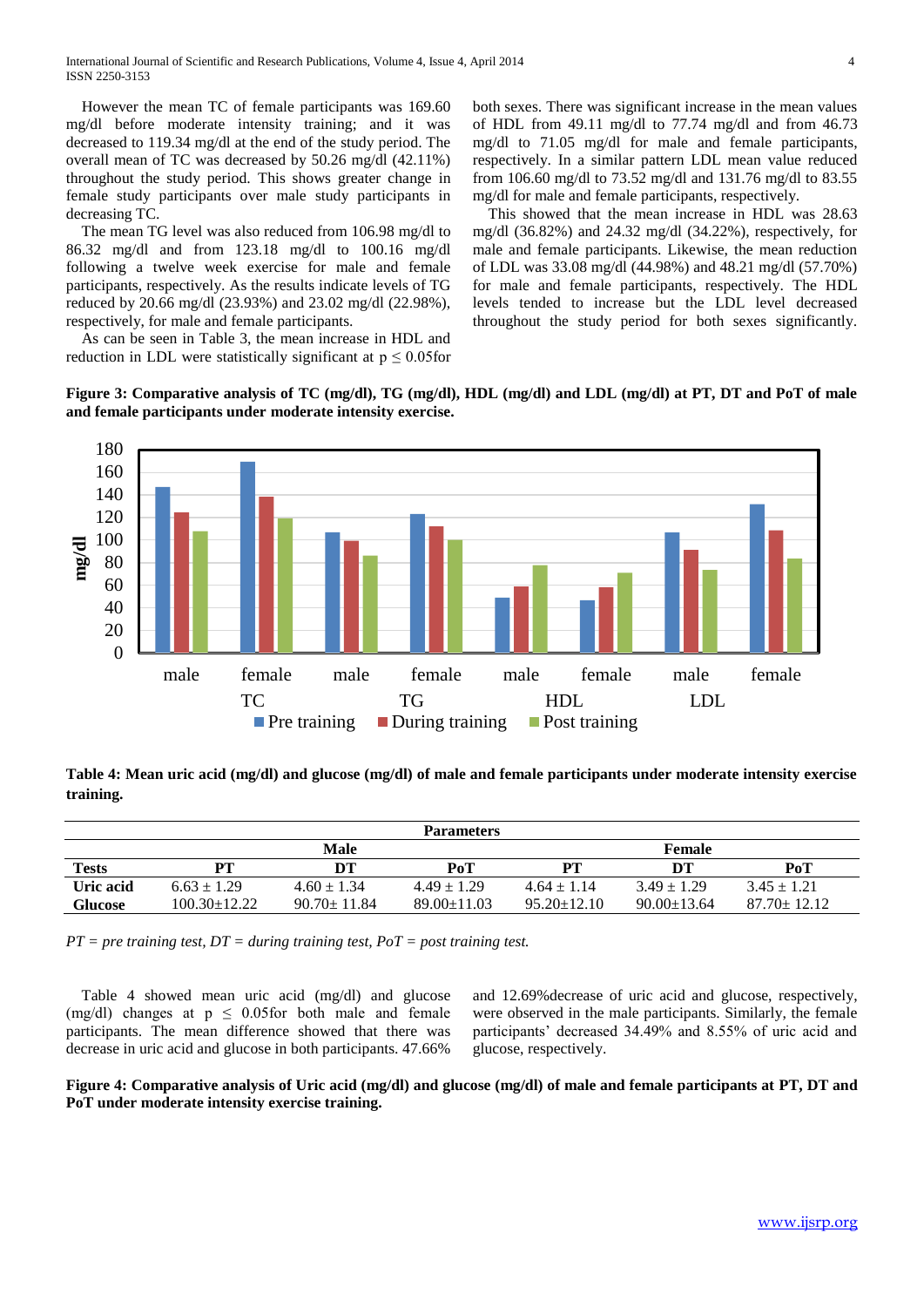However the mean TC of female participants was 169.60 mg/dl before moderate intensity training; and it was decreased to 119.34 mg/dl at the end of the study period. The overall mean of TC was decreased by 50.26 mg/dl (42.11%) throughout the study period. This shows greater change in female study participants over male study participants in decreasing TC.

 The mean TG level was also reduced from 106.98 mg/dl to 86.32 mg/dl and from 123.18 mg/dl to 100.16 mg/dl following a twelve week exercise for male and female participants, respectively. As the results indicate levels of TG reduced by 20.66 mg/dl (23.93%) and 23.02 mg/dl (22.98%), respectively, for male and female participants.

 As can be seen in Table 3, the mean increase in HDL and reduction in LDL were statistically significant at  $p \leq 0.05$  for both sexes. There was significant increase in the mean values of HDL from 49.11 mg/dl to 77.74 mg/dl and from 46.73 mg/dl to 71.05 mg/dl for male and female participants, respectively. In a similar pattern LDL mean value reduced from 106.60 mg/dl to 73.52 mg/dl and 131.76 mg/dl to 83.55 mg/dl for male and female participants, respectively.

 This showed that the mean increase in HDL was 28.63 mg/dl (36.82%) and 24.32 mg/dl (34.22%), respectively, for male and female participants. Likewise, the mean reduction of LDL was 33.08 mg/dl (44.98%) and 48.21 mg/dl (57.70%) for male and female participants, respectively. The HDL levels tended to increase but the LDL level decreased throughout the study period for both sexes significantly.

**Figure 3: Comparative analysis of TC (mg/dl), TG (mg/dl), HDL (mg/dl) and LDL (mg/dl) at PT, DT and PoT of male and female participants under moderate intensity exercise.**



**Table 4: Mean uric acid (mg/dl) and glucose (mg/dl) of male and female participants under moderate intensity exercise training.**

| <b>Parameters</b> |                    |                   |                   |                   |                   |                   |  |
|-------------------|--------------------|-------------------|-------------------|-------------------|-------------------|-------------------|--|
|                   |                    | <b>Male</b>       |                   |                   | <b>Female</b>     |                   |  |
| <b>Tests</b>      | PТ                 | DТ                | PoT               | PТ                | DТ                | PoT               |  |
| Uric acid         | $6.63 \pm 1.29$    | $4.60 \pm 1.34$   | $4.49 \pm 1.29$   | $4.64 \pm 1.14$   | $3.49 + 1.29$     | $3.45 \pm 1.21$   |  |
| <b>Glucose</b>    | $100.30 \pm 12.22$ | $90.70 \pm 11.84$ | $89.00 \pm 11.03$ | $95.20 \pm 12.10$ | $90.00 \pm 13.64$ | $87.70 \pm 12.12$ |  |

*PT = pre training test, DT = during training test, PoT = post training test.*

 Table 4 showed mean uric acid (mg/dl) and glucose (mg/dl) changes at  $p \leq 0.05$  for both male and female participants. The mean difference showed that there was decrease in uric acid and glucose in both participants. 47.66%

and 12.69%decrease of uric acid and glucose, respectively, were observed in the male participants. Similarly, the female participants' decreased 34.49% and 8.55% of uric acid and glucose, respectively.

**Figure 4: Comparative analysis of Uric acid (mg/dl) and glucose (mg/dl) of male and female participants at PT, DT and PoT under moderate intensity exercise training.**